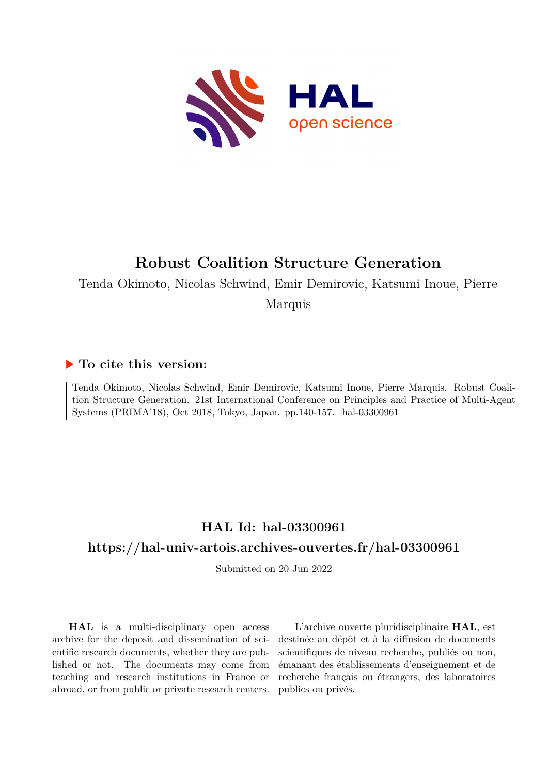

# **Robust Coalition Structure Generation**

Tenda Okimoto, Nicolas Schwind, Emir Demirovic, Katsumi Inoue, Pierre

Marquis

## **To cite this version:**

Tenda Okimoto, Nicolas Schwind, Emir Demirovic, Katsumi Inoue, Pierre Marquis. Robust Coalition Structure Generation. 21st International Conference on Principles and Practice of Multi-Agent Systems (PRIMA'18), Oct 2018, Tokyo, Japan. pp.140-157. hal-03300961

## **HAL Id: hal-03300961**

## **<https://hal-univ-artois.archives-ouvertes.fr/hal-03300961>**

Submitted on 20 Jun 2022

**HAL** is a multi-disciplinary open access archive for the deposit and dissemination of scientific research documents, whether they are published or not. The documents may come from teaching and research institutions in France or abroad, or from public or private research centers.

L'archive ouverte pluridisciplinaire **HAL**, est destinée au dépôt et à la diffusion de documents scientifiques de niveau recherche, publiés ou non, émanant des établissements d'enseignement et de recherche français ou étrangers, des laboratoires publics ou privés.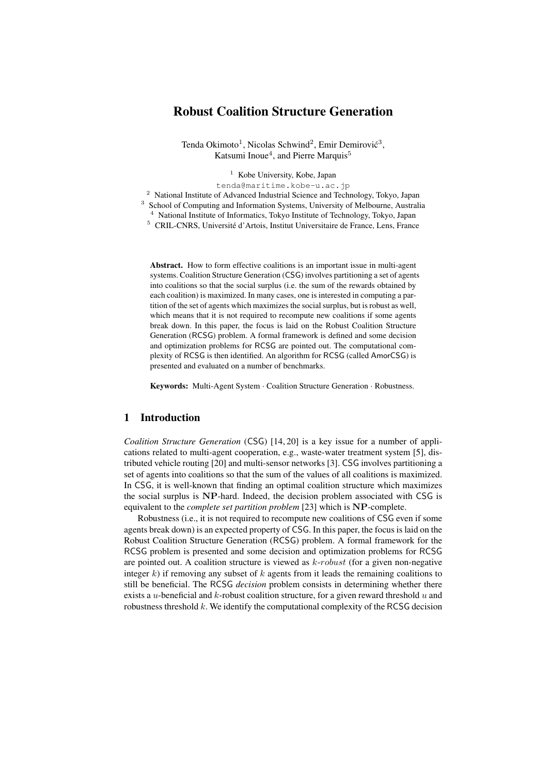## Robust Coalition Structure Generation

Tenda Okimoto<sup>1</sup>, Nicolas Schwind<sup>2</sup>, Emir Demirović<sup>3</sup>, Katsumi Inoue<sup>4</sup>, and Pierre Marquis<sup>5</sup>

<sup>1</sup> Kobe University, Kobe, Japan

tenda@maritime.kobe-u.ac.jp

<sup>2</sup> National Institute of Advanced Industrial Science and Technology, Tokyo, Japan 3

School of Computing and Information Systems, University of Melbourne, Australia

<sup>4</sup> National Institute of Informatics, Tokyo Institute of Technology, Tokyo, Japan

<sup>5</sup> CRIL-CNRS, Université d'Artois, Institut Universitaire de France, Lens, France

Abstract. How to form effective coalitions is an important issue in multi-agent systems. Coalition Structure Generation (CSG) involves partitioning a set of agents into coalitions so that the social surplus (i.e. the sum of the rewards obtained by each coalition) is maximized. In many cases, one is interested in computing a partition of the set of agents which maximizes the social surplus, but is robust as well, which means that it is not required to recompute new coalitions if some agents break down. In this paper, the focus is laid on the Robust Coalition Structure Generation (RCSG) problem. A formal framework is defined and some decision and optimization problems for RCSG are pointed out. The computational complexity of RCSG is then identified. An algorithm for RCSG (called AmorCSG) is presented and evaluated on a number of benchmarks.

Keywords: Multi-Agent System *·* Coalition Structure Generation *·* Robustness.

## 1 Introduction

*Coalition Structure Generation* (CSG) [14, 20] is a key issue for a number of applications related to multi-agent cooperation, e.g., waste-water treatment system [5], distributed vehicle routing [20] and multi-sensor networks [3]. CSG involves partitioning a set of agents into coalitions so that the sum of the values of all coalitions is maximized. In CSG, it is well-known that finding an optimal coalition structure which maximizes the social surplus is **NP**-hard. Indeed, the decision problem associated with CSG is equivalent to the *complete set partition problem* [23] which is **NP**-complete.

Robustness (i.e., it is not required to recompute new coalitions of CSG even if some agents break down) is an expected property of CSG. In this paper, the focus is laid on the Robust Coalition Structure Generation (RCSG) problem. A formal framework for the RCSG problem is presented and some decision and optimization problems for RCSG are pointed out. A coalition structure is viewed as *k*-*robust* (for a given non-negative integer  $k$ ) if removing any subset of  $k$  agents from it leads the remaining coalitions to still be beneficial. The RCSG *decision* problem consists in determining whether there exists a *u*-beneficial and *k*-robust coalition structure, for a given reward threshold *u* and robustness threshold *k*. We identify the computational complexity of the RCSG decision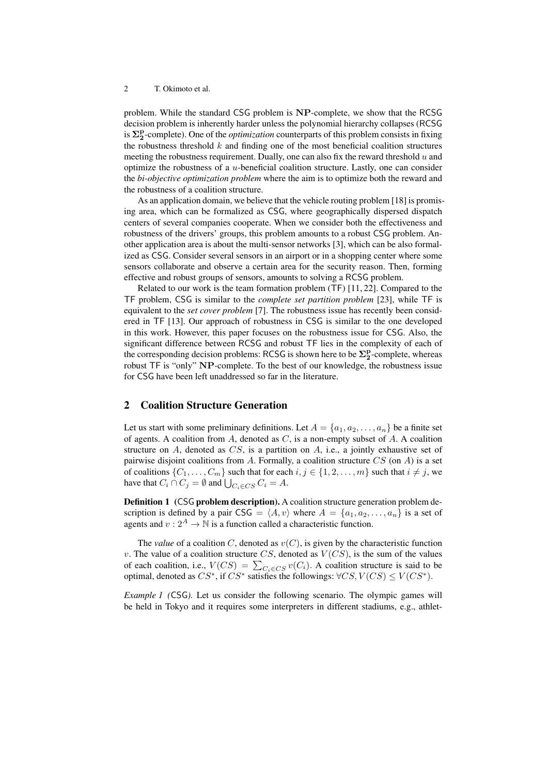problem. While the standard CSG problem is **NP**-complete, we show that the RCSG decision problem is inherently harder unless the polynomial hierarchy collapses (RCSG is **Σ p 2** -complete). One of the *optimization* counterparts of this problem consists in fixing the robustness threshold *k* and finding one of the most beneficial coalition structures meeting the robustness requirement. Dually, one can also fix the reward threshold *u* and optimize the robustness of a *u*-beneficial coalition structure. Lastly, one can consider the *bi-objective optimization problem* where the aim is to optimize both the reward and the robustness of a coalition structure.

As an application domain, we believe that the vehicle routing problem [18] is promising area, which can be formalized as CSG, where geographically dispersed dispatch centers of several companies cooperate. When we consider both the effectiveness and robustness of the drivers' groups, this problem amounts to a robust CSG problem. Another application area is about the multi-sensor networks [3], which can be also formalized as CSG. Consider several sensors in an airport or in a shopping center where some sensors collaborate and observe a certain area for the security reason. Then, forming effective and robust groups of sensors, amounts to solving a RCSG problem.

Related to our work is the team formation problem (TF) [11, 22]. Compared to the TF problem, CSG is similar to the *complete set partition problem* [23], while TF is equivalent to the *set cover problem* [7]. The robustness issue has recently been considered in TF [13]. Our approach of robustness in CSG is similar to the one developed in this work. However, this paper focuses on the robustness issue for CSG. Also, the significant difference between RCSG and robust TF lies in the complexity of each of the corresponding decision problems: RCSG is shown here to be  $\Sigma_2^{\text{p}}$ -complete, whereas robust TF is "only" **NP**-complete. To the best of our knowledge, the robustness issue for CSG have been left unaddressed so far in the literature.

### 2 Coalition Structure Generation

Let us start with some preliminary definitions. Let  $A = \{a_1, a_2, \ldots, a_n\}$  be a finite set of agents. A coalition from *A*, denoted as *C*, is a non-empty subset of *A*. A coalition structure on *A*, denoted as *CS*, is a partition on *A*, i.e., a jointly exhaustive set of pairwise disjoint coalitions from *A*. Formally, a coalition structure *CS* (on *A*) is a set of coalitions  $\{C_1, \ldots, C_m\}$  such that for each  $i, j \in \{1, 2, \ldots, m\}$  such that  $i \neq j$ , we have that  $C_i \cap C_j = \emptyset$  and  $\bigcup_{C_i \in CS} C_i = A$ .

**Definition 1 (CSG problem description).** A coalition structure generation problem description is defined by a pair CSG =  $\langle A, v \rangle$  where  $A = \{a_1, a_2, \ldots, a_n\}$  is a set of agents and  $v: 2^A \to \mathbb{N}$  is a function called a characteristic function.

The *value* of a coalition *C*, denoted as  $v(C)$ , is given by the characteristic function *v*. The value of a coalition structure CS, denoted as  $V(CS)$ , is the sum of the values of each coalition, i.e.,  $V(CS) = \sum_{C_i \in CS} v(C_i)$ . A coalition structure is said to be optimal, denoted as  $CS^*$ , if  $CS^*$  satisfies the followings:  $\forall CS, V(CS) \leq V(CS^*)$ .

*Example 1 (*CSG*).* Let us consider the following scenario. The olympic games will be held in Tokyo and it requires some interpreters in different stadiums, e.g., athlet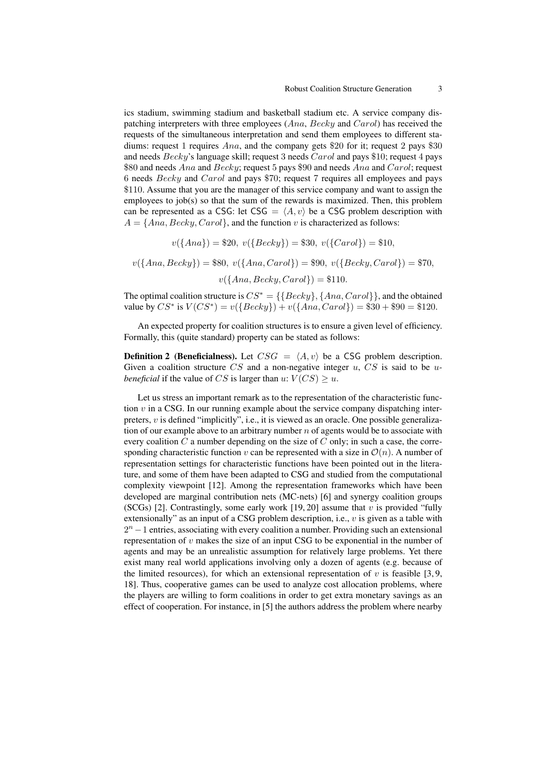ics stadium, swimming stadium and basketball stadium etc. A service company dispatching interpreters with three employees (*Ana*, *Becky* and *Carol*) has received the requests of the simultaneous interpretation and send them employees to different stadiums: request 1 requires *Ana*, and the company gets \$20 for it; request 2 pays \$30 and needs *Becky*'s language skill; request 3 needs *Carol* and pays \$10; request 4 pays \$80 and needs *Ana* and *Becky*; request 5 pays \$90 and needs *Ana* and *Carol*; request 6 needs *Becky* and *Carol* and pays \$70; request 7 requires all employees and pays \$110. Assume that you are the manager of this service company and want to assign the employees to job(s) so that the sum of the rewards is maximized. Then, this problem can be represented as a CSG: let  $\text{CSG} = \langle A, v \rangle$  be a CSG problem description with  $A = \{Ana, Becky, Carol\}$ , and the function *v* is characterized as follows:

$$
v({\text{A}na}) = $20, v({\text{Becky}}) = $30, v({\text{C}arol}) = $10,
$$

*v*(*{Ana, Becky}*) = \$80*, v*(*{Ana, Carol}*) = \$90*, v*(*{Becky, Carol}*) = \$70*,*  $v({\text{A}na, Becky, Carol}) = $110$ .

The optimal coalition structure is *CS<sup>∗</sup>* = *{{Becky}, {Ana, Carol}}*, and the obtained value by  $CS^*$  is  $V(CS^*) = v({{Becky}}) + v({{Ana, Carol}}) = $30 + $90 = $120$ .

An expected property for coalition structures is to ensure a given level of efficiency. Formally, this (quite standard) property can be stated as follows:

**Definition 2 (Beneficialness).** Let  $CSG = \langle A, v \rangle$  be a CSG problem description. Given a coalition structure *CS* and a non-negative integer *u*, *CS* is said to be *ubeneficial* if the value of *CS* is larger than  $u: V(CS) \geq u$ .

Let us stress an important remark as to the representation of the characteristic function *v* in a CSG. In our running example about the service company dispatching interpreters, *v* is defined "implicitly", i.e., it is viewed as an oracle. One possible generalization of our example above to an arbitrary number *n* of agents would be to associate with every coalition *C* a number depending on the size of *C* only; in such a case, the corresponding characteristic function *v* can be represented with a size in  $\mathcal{O}(n)$ . A number of representation settings for characteristic functions have been pointed out in the literature, and some of them have been adapted to CSG and studied from the computational complexity viewpoint [12]. Among the representation frameworks which have been developed are marginal contribution nets (MC-nets) [6] and synergy coalition groups (SCGs) [2]. Contrastingly, some early work  $[19, 20]$  assume that *v* is provided "fully extensionally" as an input of a CSG problem description, i.e., *v* is given as a table with 2<sup>*n*</sup> − 1 entries, associating with every coalition a number. Providing such an extensional representation of *v* makes the size of an input CSG to be exponential in the number of agents and may be an unrealistic assumption for relatively large problems. Yet there exist many real world applications involving only a dozen of agents (e.g. because of the limited resources), for which an extensional representation of  $v$  is feasible [3, 9, 18]. Thus, cooperative games can be used to analyze cost allocation problems, where the players are willing to form coalitions in order to get extra monetary savings as an effect of cooperation. For instance, in [5] the authors address the problem where nearby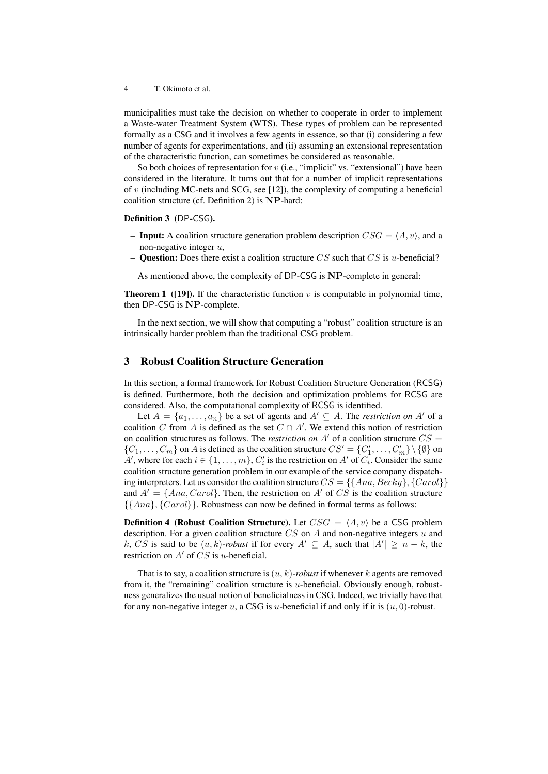municipalities must take the decision on whether to cooperate in order to implement a Waste-water Treatment System (WTS). These types of problem can be represented formally as a CSG and it involves a few agents in essence, so that (i) considering a few number of agents for experimentations, and (ii) assuming an extensional representation of the characteristic function, can sometimes be considered as reasonable.

So both choices of representation for *v* (i.e., "implicit" vs. "extensional") have been considered in the literature. It turns out that for a number of implicit representations of *v* (including MC-nets and SCG, see [12]), the complexity of computing a beneficial coalition structure (cf. Definition 2) is **NP**-hard:

#### Definition 3 (DP-CSG).

- **Input:** A coalition structure generation problem description  $CSG = \langle A, v \rangle$ , and a non-negative integer *u*,
- Question: Does there exist a coalition structure *CS* such that *CS* is *u*-beneficial?

As mentioned above, the complexity of DP-CSG is **NP**-complete in general:

**Theorem 1** ([19]). If the characteristic function  $v$  is computable in polynomial time, then DP-CSG is **NP**-complete.

In the next section, we will show that computing a "robust" coalition structure is an intrinsically harder problem than the traditional CSG problem.

## 3 Robust Coalition Structure Generation

In this section, a formal framework for Robust Coalition Structure Generation (RCSG) is defined. Furthermore, both the decision and optimization problems for RCSG are considered. Also, the computational complexity of RCSG is identified.

Let  $A = \{a_1, \ldots, a_n\}$  be a set of agents and  $A' \subseteq A$ . The *restriction on*  $A'$  of a coalition *C* from *A* is defined as the set  $C \cap A'$ . We extend this notion of restriction on coalition structures as follows. The *restriction on*  $A'$  of a coalition structure  $CS =$  ${C_1, \ldots, C_m}$  on *A* is defined as the coalition structure  $CS' = {C'_1, \ldots, C'_m} \setminus \{\emptyset\}$  on *A*<sup>*'*</sup>, where for each  $i \in \{1, \ldots, m\}$ ,  $C_i'$  is the restriction on  $A'$  of  $C_i$ . Consider the same coalition structure generation problem in our example of the service company dispatching interpreters. Let us consider the coalition structure  $CS = \{\{Ana, Becky\}, \{Carol\}\}\$ and  $A' = \{Ana, Carol\}$ . Then, the restriction on  $A'$  of CS is the coalition structure *{{Ana}, {Carol}}*. Robustness can now be defined in formal terms as follows:

**Definition 4 (Robust Coalition Structure).** Let  $CSG = \langle A, v \rangle$  be a CSG problem description. For a given coalition structure *CS* on *A* and non-negative integers *u* and *k*, *CS* is said to be  $(u, k)$ -*robust* if for every  $A' ⊆ A$ , such that  $|A'| ≥ n - k$ , the restriction on *A′* of *CS* is *u*-beneficial.

That is to say, a coalition structure is  $(u, k)$ -*robust* if whenever k agents are removed from it, the "remaining" coalition structure is *u*-beneficial. Obviously enough, robustness generalizes the usual notion of beneficialness in CSG. Indeed, we trivially have that for any non-negative integer *u*, a CSG is *u*-beneficial if and only if it is (*u,* 0)-robust.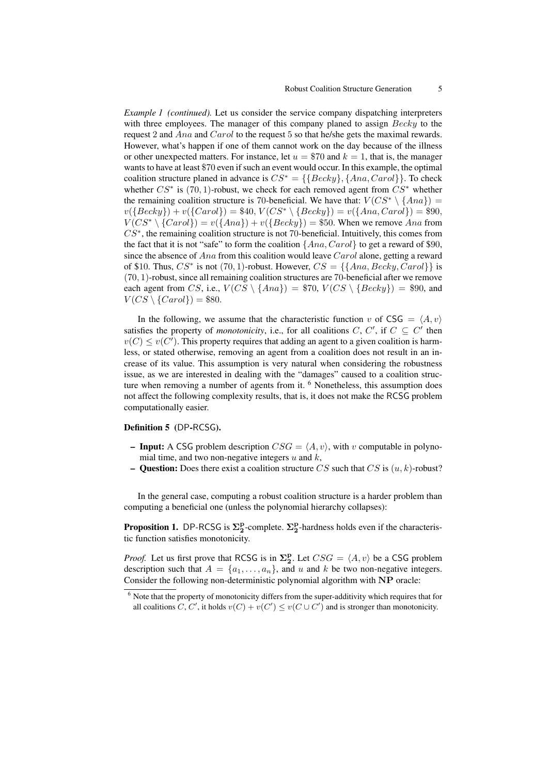*Example 1 (continued).* Let us consider the service company dispatching interpreters with three employees. The manager of this company planed to assign *Becky* to the request 2 and *Ana* and *Carol* to the request 5 so that he/she gets the maximal rewards. However, what's happen if one of them cannot work on the day because of the illness or other unexpected matters. For instance, let  $u = $70$  and  $k = 1$ , that is, the manager wants to have at least \$70 even if such an event would occur. In this example, the optimal coalition structure planed in advance is  $CS^* = \{ {Becky} \}, {Ans, Carol} \}.$  To check whether *CS<sup>∗</sup>* is (70*,* 1)-robust, we check for each removed agent from *CS<sup>∗</sup>* whether the remaining coalition structure is 70-beneficial. We have that:  $V(CS^* \setminus \{Ana\})$  $v({\text{Becky}}) + v({\text{Carol}}) = $40, V(CS^* \setminus {\text{Becky}}) = v({\text{Ana}, \text{Card}}) = $90,$  $V(CS^* \setminus \{Carol\}) = v(\{Ana\}) + v(\{Becky\}) = $50$ . When we remove *Ana* from *CS<sup>∗</sup>* , the remaining coalition structure is not 70-beneficial. Intuitively, this comes from the fact that it is not "safe" to form the coalition *{Ana, Carol}* to get a reward of \$90, since the absence of *Ana* from this coalition would leave *Carol* alone, getting a reward of \$10. Thus,  $CS^*$  is not (70, 1)-robust. However,  $CS = \{\{Ana, Becky, Carol\}\}\$ is (70*,* 1)-robust, since all remaining coalition structures are 70-beneficial after we remove each agent from *CS*, i.e.,  $V(CS \setminus \{Ana\}) = $70, V(CS \setminus \{Becky\}) = $90$ , and  $V(CS \setminus \{Carol\}) = $80$ .

In the following, we assume that the characteristic function *v* of  $CSG = \langle A, v \rangle$ satisfies the property of *monotonicity*, i.e., for all coalitions *C*, *C'*, if  $C \subseteq C'$  then  $v(C) \le v(C')$ . This property requires that adding an agent to a given coalition is harmless, or stated otherwise, removing an agent from a coalition does not result in an increase of its value. This assumption is very natural when considering the robustness issue, as we are interested in dealing with the "damages" caused to a coalition structure when removing a number of agents from it. <sup>6</sup> Nonetheless, this assumption does not affect the following complexity results, that is, it does not make the RCSG problem computationally easier.

#### Definition 5 (DP-RCSG).

- **Input:** A CSG problem description  $CSG = \langle A, v \rangle$ , with *v* computable in polynomial time, and two non-negative integers *u* and *k*,
- Question: Does there exist a coalition structure *CS* such that *CS* is (*u, k*)-robust?

In the general case, computing a robust coalition structure is a harder problem than computing a beneficial one (unless the polynomial hierarchy collapses):

**Proposition 1.** DP-RCSG is  $\Sigma_2^{\text{p}}$ -complete.  $\Sigma_2^{\text{p}}$ -hardness holds even if the characteristic function satisfies monotonicity.

*Proof.* Let us first prove that RCSG is in  $\Sigma_2^{\mathbf{p}}$ . Let  $CSG = \langle A, v \rangle$  be a CSG problem description such that  $A = \{a_1, \ldots, a_n\}$ , and *u* and *k* be two non-negative integers. Consider the following non-deterministic polynomial algorithm with **NP** oracle:

<sup>&</sup>lt;sup>6</sup> Note that the property of monotonicity differs from the super-additivity which requires that for all coalitions *C*, *C'*, it holds  $v(C) + v(C') \le v(C \cup C')$  and is stronger than monotonicity.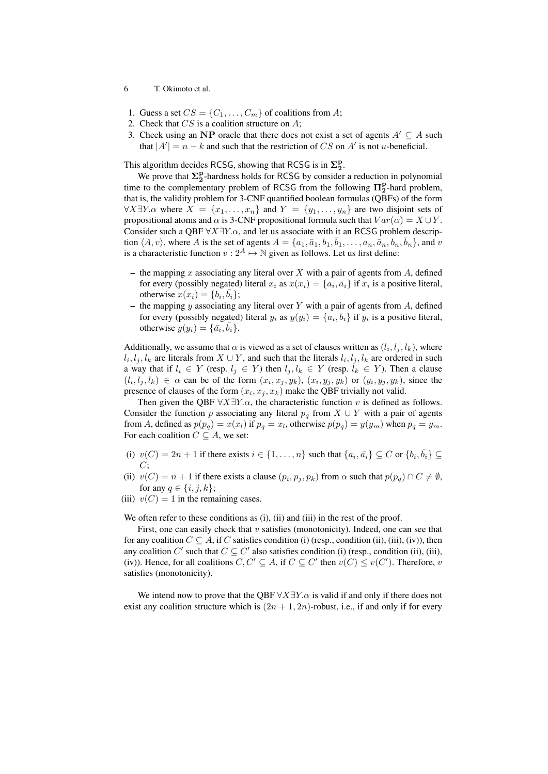- 6 T. Okimoto et al.
- 1. Guess a set  $CS = \{C_1, \ldots, C_m\}$  of coalitions from *A*;
- 2. Check that *CS* is a coalition structure on *A*;
- 3. Check using an **NP** oracle that there does not exist a set of agents  $A' \subseteq A$  such that  $|A'| = n - k$  and such that the restriction of *CS* on  $A'$  is not *u*-beneficial.

This algorithm decides RCSG, showing that RCSG is in  $\Sigma_2^p$ .

We prove that  $\Sigma_2^p$ -hardness holds for RCSG by consider a reduction in polynomial time to the complementary problem of RCSG from the following  $\Pi_2^{\text{p}}$ -hard problem, that is, the validity problem for 3-CNF quantified boolean formulas (QBFs) of the form  $∀X∃Y.α$  where  $X = \{x_1, \ldots, x_n\}$  and  $Y = \{y_1, \ldots, y_n\}$  are two disjoint sets of propositional atoms and  $\alpha$  is 3-CNF propositional formula such that  $Var(\alpha) = X \cup Y$ . Consider such a QBF *∀X∃Y.α*, and let us associate with it an RCSG problem description  $\langle A, v \rangle$ , where A is the set of agents  $A = \{a_1, \bar{a}_1, b_1, \bar{b}_1, \dots, a_n, \bar{a}_n, b_n, \bar{b}_n\}$ , and v is a characteristic function  $v: 2^A \mapsto \mathbb{N}$  given as follows. Let us first define:

- the mapping *x* associating any literal over *X* with a pair of agents from *A*, defined for every (possibly negated) literal  $x_i$  as  $x(x_i) = \{a_i, \bar{a_i}\}$  if  $x_i$  is a positive literal, otherwise  $x(x_i) = \{b_i, \overline{b_i}\};$
- the mapping *y* associating any literal over *Y* with a pair of agents from *A*, defined for every (possibly negated) literal  $y_i$  as  $y(y_i) = \{a_i, b_i\}$  if  $y_i$  is a positive literal, otherwise  $y(y_i) = {\overline{a_i, b_i}}.$

Additionally, we assume that  $\alpha$  is viewed as a set of clauses written as  $(l_i, l_j, l_k)$ , where  $l_i, l_j, l_k$  are literals from  $X \cup Y$ , and such that the literals  $l_i, l_j, l_k$  are ordered in such a way that if  $l_i \in Y$  (resp.  $l_j \in Y$ ) then  $l_j, l_k \in Y$  (resp.  $l_k \in Y$ ). Then a clause  $(l_i, l_j, l_k) \in \alpha$  can be of the form  $(x_i, x_j, y_k)$ ,  $(x_i, y_j, y_k)$  or  $(y_i, y_j, y_k)$ , since the presence of clauses of the form  $(x_i, x_j, x_k)$  make the QBF trivially not valid.

Then given the QBF  $\forall X \exists Y \alpha$ , the characteristic function *v* is defined as follows. Consider the function *p* associating any literal  $p_q$  from  $X \cup Y$  with a pair of agents from A, defined as  $p(p_q) = x(x_l)$  if  $p_q = x_l$ , otherwise  $p(p_q) = y(y_m)$  when  $p_q = y_m$ . For each coalition  $C \subseteq A$ , we set:

- (i)  $v(C) = 2n + 1$  if there exists  $i \in \{1, ..., n\}$  such that  $\{a_i, \bar{a_i}\} \subseteq C$  or  $\{b_i, \bar{b_i}\} \subseteq$ *C*;
- (ii)  $v(C) = n + 1$  if there exists a clause  $(p_i, p_j, p_k)$  from  $\alpha$  such that  $p(p_q) \cap C \neq \emptyset$ , for any  $q \in \{i, j, k\}$ ;
- (iii)  $v(C) = 1$  in the remaining cases.

We often refer to these conditions as (i), (ii) and (iii) in the rest of the proof.

First, one can easily check that *v* satisfies (monotonicity). Indeed, one can see that for any coalition  $C \subseteq A$ , if *C* satisfies condition (i) (resp., condition (ii), (iii), (iv)), then any coalition  $C'$  such that  $C \subseteq C'$  also satisfies condition (i) (resp., condition (ii), (iii), (iv)). Hence, for all coalitions  $C, C' \subseteq A$ , if  $C \subseteq C'$  then  $v(C) \le v(C')$ . Therefore, *v* satisfies (monotonicity).

We intend now to prove that the QBF  $\forall X \exists Y. \alpha$  is valid if and only if there does not exist any coalition structure which is  $(2n + 1, 2n)$ -robust, i.e., if and only if for every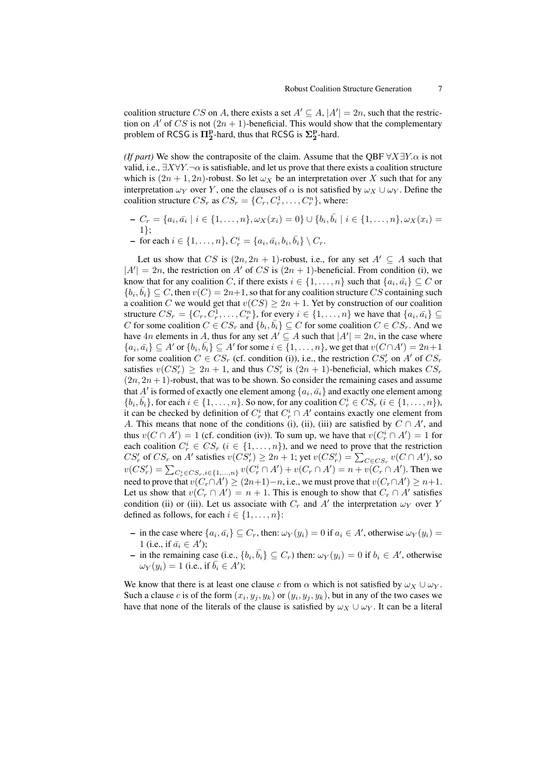coalition structure *CS* on *A*, there exists a set  $A' \subseteq A$ ,  $|A'| = 2n$ , such that the restriction on  $A'$  of  $CS$  is not  $(2n + 1)$ -beneficial. This would show that the complementary problem of RCSG is  $\Pi_2^{\mathbf{p}}$ -hard, thus that RCSG is  $\Sigma_2^{\mathbf{p}}$ -hard.

*(If part)* We show the contraposite of the claim. Assume that the QBF *∀X∃Y.α* is not valid, i.e., *∃X∀Y.¬α* is satisfiable, and let us prove that there exists a coalition structure which is  $(2n + 1, 2n)$ -robust. So let  $\omega_X$  be an interpretation over X such that for any interpretation  $\omega_Y$  over *Y*, one the clauses of  $\alpha$  is not satisfied by  $\omega_X \cup \omega_Y$ . Define the coalition structure  $CS_r$  as  $CS_r = \{C_r, C_r^1, \ldots, C_r^n\}$ , where:

 $-C_r = \{a_i, \bar{a_i} \mid i \in \{1, ..., n\}, \omega_X(x_i) = 0\} \cup \{b_i, \bar{b_i} \mid i \in \{1, ..., n\}, \omega_X(x_i) = 0\}$ 1*}*;

- for each 
$$
i \in \{1, ..., n\}
$$
,  $C_r^i = \{a_i, \bar{a_i}, b_i, \bar{b_i}\} \setminus C_r$ .

Let us show that *CS* is  $(2n, 2n + 1)$ -robust, i.e., for any set  $A' \subseteq A$  such that  $|A'| = 2n$ , the restriction on *A'* of *CS* is  $(2n + 1)$ -beneficial. From condition (i), we know that for any coalition *C*, if there exists  $i \in \{1, \ldots, n\}$  such that  $\{a_i, \bar{a_i}\} \subseteq C$  or  ${b_i, \overline{b_i}} \subseteq C$ , then  $v(C) = 2n+1$ , so that for any coalition structure *CS* containing such a coalition *C* we would get that  $v(CS) \geq 2n + 1$ . Yet by construction of our coalition structure  $CS_r = \{C_r, C_r^1, \ldots, C_r^n\}$ , for every  $i \in \{1, \ldots, n\}$  we have that  $\{a_i, \bar{a_i}\}\subseteq$ *C* for some coalition *C* ∈ *CS*<sup>*r*</sup></sub> and  $\{b_i, \overline{b_i}\}$  ⊆ *C* for some coalition *C* ∈ *CS*<sup>*r*</sup>. And we have  $4n$  elements in *A*, thus for any set  $A' \subseteq A$  such that  $|A'| = 2n$ , in the case where  $\{a_i, \bar{a_i}\}\subseteq A'$  or  $\{b_i, \bar{b_i}\}\subseteq A'$  for some  $i \in \{1, ..., n\}$ , we get that  $v(C \cap A') = 2n+1$ for some coalition  $C \in CS_r$  (cf. condition (i)), i.e., the restriction  $CS'_r$  on  $A'$  of  $CS_r$ satisfies  $v(CS'_r) \ge 2n + 1$ , and thus  $CS'_r$  is  $(2n + 1)$ -beneficial, which makes  $CS_r$  $(2n, 2n + 1)$ -robust, that was to be shown. So consider the remaining cases and assume that  $A'$  is formed of exactly one element among  $\{a_i,\bar{a_i}\}$  and exactly one element among  $\{b_i, \overline{b_i}\}\$ , for each  $i \in \{1, \ldots, n\}\$ . So now, for any coalition  $C_r^i \in CS_r$   $(i \in \{1, \ldots, n\})$ , it can be checked by definition of  $C_r^i$  that  $C_r^i \cap A'$  contains exactly one element from *A*. This means that none of the conditions (i), (ii), (iii) are satisfied by  $C \cap A'$ , and thus  $v(C \cap A') = 1$  (cf. condition (iv)). To sum up, we have that  $v(C_r^i \cap A') = 1$  for each coalition  $C_r^i \in CS_r$  ( $i \in \{1, \ldots, n\}$ ), and we need to prove that the restriction  $CS'_r$  of  $CS_r$  on  $A'$  satisfies  $v(CS'_r) \ge 2n + 1$ ; yet  $v(CS'_r) = \sum_{C \in CS_r} v(C \cap A')$ , so  $v(CS'_r) = \sum_{C_r^i \in CS_r, i \in \{1,...,n\}} v(C_r^i \cap A') + v(C_r \cap A') = n + v(C_r \cap A')$ . Then we need to prove that  $v(C_r \cap A') \ge (2n+1) - n$ , i.e., we must prove that  $v(C_r \cap A') \ge n+1$ . Let us show that  $v(C_r \cap A') = n + 1$ . This is enough to show that  $C_r \cap A'$  satisfies condition (ii) or (iii). Let us associate with  $C_r$  and  $A'$  the interpretation  $\omega_Y$  over *Y* defined as follows, for each  $i \in \{1, \ldots, n\}$ :

- in the case where  $\{a_i, \bar{a_i}\}\subseteq C_r$ , then:  $\omega_Y(y_i) = 0$  if  $a_i \in A'$ , otherwise  $\omega_Y(y_i) =$ 1 (i.e., if  $\bar{a_i} \in A'$ );
- − in the remaining case (i.e.,  ${b_i, \overline{b_i}} \subseteq C_r$ ) then:  $\omega_Y(y_i) = 0$  if  $b_i \in A'$ , otherwise  $\omega_Y(y_i) = 1$  (i.e., if  $\bar{b}_i \in A'$ );

We know that there is at least one clause *c* from  $\alpha$  which is not satisfied by  $\omega_X \cup \omega_Y$ . Such a clause *c* is of the form  $(x_i, y_j, y_k)$  or  $(y_i, y_j, y_k)$ , but in any of the two cases we have that none of the literals of the clause is satisfied by  $\omega_X \cup \omega_Y$ . It can be a literal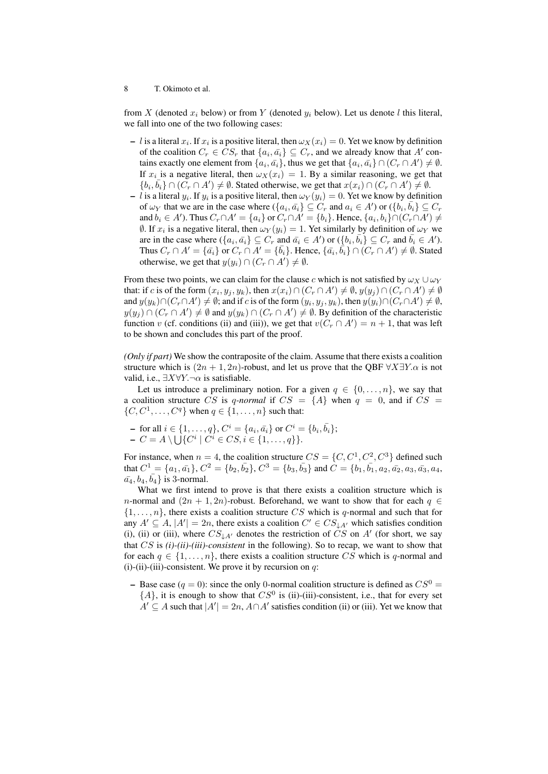from *X* (denoted  $x_i$  below) or from *Y* (denoted  $y_i$  below). Let us denote *l* this literal, we fall into one of the two following cases:

- $l$  is a literal  $x_i$ . If  $x_i$  is a positive literal, then  $\omega_X(x_i) = 0$ . Yet we know by definition of the coalition  $C_r \in CS_r$  that  $\{a_i, \bar{a_i}\} \subseteq C_r$ , and we already know that A<sup>*'*</sup> contains exactly one element from  $\{a_i, \bar{a_i}\}$ , thus we get that  $\{a_i, \bar{a_i}\} \cap (C_r \cap A') \neq \emptyset$ . If  $x_i$  is a negative literal, then  $\omega_X(x_i) = 1$ . By a similar reasoning, we get that  $\{b_i, \overline{b_i}\} \cap (\overline{C_r} \cap A') \neq \emptyset$ . Stated otherwise, we get that  $x(x_i) \cap (\overline{C_r} \cap A') \neq \emptyset$ .
- $l$  is a literal  $y_i$ . If  $y_i$  is a positive literal, then  $\omega_Y(y_i) = 0$ . Yet we know by definition of  $\omega_Y$  that we are in the case where  $(\{a_i, \bar{a_i}\}\subseteq C_r$  and  $a_i \in A')$  or  $(\{b_i, \bar{b_i}\}\subseteq C_r$ and  $b_i \in A'$ ). Thus  $C_r \cap A' = \{a_i\}$  or  $C_r \cap A' = \{b_i\}$ . Hence,  $\{a_i, b_i\} \cap (C_r \cap A') \neq$  $\emptyset$ *.* If *x<sub>i</sub>* is a negative literal, then  $ω_Y(y_i) = 1$ . Yet similarly by definition of  $ω_Y$  we are in the case where  $(\{a_i, \bar{a_i}\} \subseteq C_r$  and  $\bar{a_i} \in A')$  or  $(\{b_i, \bar{b_i}\} \subseteq C_r$  and  $\bar{b_i} \in A'$ ). Thus  $C_r \cap A' = \{\bar{a}_i\}$  or  $C_r \cap A' = \{\bar{b}_i\}$ . Hence,  $\{\bar{a}_i, \bar{b}_i\} \cap (C_r \cap A') \neq \emptyset$ . Stated otherwise, we get that  $y(y_i) \cap (C_r \cap A') \neq \emptyset$ .

From these two points, we can claim for the clause *c* which is not satisfied by  $\omega_X \cup \omega_Y$ that: if c is of the form  $(x_i, y_j, y_k)$ , then  $x(x_i) \cap (C_r \cap A') \neq \emptyset$ ,  $y(y_j) \cap (C_r \cap A') \neq \emptyset$ and  $y(y_k) \cap (C_r \cap A') \neq \emptyset$ ; and if c is of the form  $(y_i, y_j, y_k)$ , then  $y(y_i) \cap (C_r \cap A') \neq \emptyset$ ,  $y(y_j) \cap (C_r \cap A') \neq \emptyset$  and  $y(y_k) \cap (C_r \cap A') \neq \emptyset$ . By definition of the characteristic function *v* (cf. conditions (ii) and (iii)), we get that  $v(C_r \cap A') = n + 1$ , that was left to be shown and concludes this part of the proof.

*(Only if part)* We show the contraposite of the claim. Assume that there exists a coalition structure which is  $(2n + 1, 2n)$ -robust, and let us prove that the QBF  $\forall X \exists Y \alpha$  is not valid, i.e., *∃X∀Y.¬α* is satisfiable.

Let us introduce a preliminary notion. For a given  $q \in \{0, \ldots, n\}$ , we say that a coalition structure CS is *q*-normal if  $CS = \{A\}$  when  $q = 0$ , and if  $CS =$ *{C*, *C*<sup>1</sup>, *i , . . . , C<sup><i>q*</sup></del>} when *q* ∈ {1, *i , . . , n*} such that:

 $-$  for all  $i \in \{1, ..., q\}$ ,  $C^i = \{a_i, \bar{a_i}\}$  or  $C^i = \{b_i, \bar{b_i}\}$ ;  $-C = A \setminus \bigcup \{C^i \mid C^i \in CS, i \in \{1, ..., q\}\}.$ 

For instance, when  $n = 4$ , the coalition structure  $CS = \{C, C^1, C^2, C^3\}$  defined such that  $C^1 = \{a_1, \bar{a_1}\}\$ ,  $C^2 = \{b_2, \bar{b_2}\}\$ ,  $C^3 = \{b_3, \bar{b_3}\}\$  and  $C = \{b_1, \bar{b_1}, a_2, \bar{a_2}, a_3, \bar{a_3}, a_4, a_5, a_6, a_7, a_8, a_9, a_1, a_2, a_3, a_4, a_5, a_6, a_7, a_8, a_9, a_1, a_2, a_3, a_4, a_5, a_6, a_7, a_8, a_9, a_1, a_2, a_3, a$  $\overline{a_4}, \overline{b_4}, \overline{b_4}$  is 3-normal.

What we first intend to prove is that there exists a coalition structure which is *n*-normal and  $(2n + 1, 2n)$ -robust. Beforehand, we want to show that for each  $q \in$ *{*1*, . . . , n}*, there exists a coalition structure *CS* which is *q*-normal and such that for any  $A' \subseteq A$ ,  $|A'| = 2n$ , there exists a coalition  $C' \in CS_{\downarrow A'}$  which satisfies condition (i), (ii) or (iii), where  $CS_{\downarrow A'}$  denotes the restriction of  $CS$  on  $A'$  (for short, we say that *CS* is *(i)-(ii)-(iii)-consistent* in the following). So to recap, we want to show that for each  $q \in \{1, \ldots, n\}$ , there exists a coalition structure CS which is q-normal and (i)-(ii)-(iii)-consistent. We prove it by recursion on *q*:

– Base case  $(q = 0)$ : since the only 0-normal coalition structure is defined as  $CS^0 =$  ${A}$ , it is enough to show that  $CS^0$  is (ii)-(iii)-consistent, i.e., that for every set *A*<sup> $′$ </sup> ⊆ *A* such that  $|A^′| = 2n$ , *A* ∩ *A*<sup> $′$ </sup> satisfies condition (ii) or (iii). Yet we know that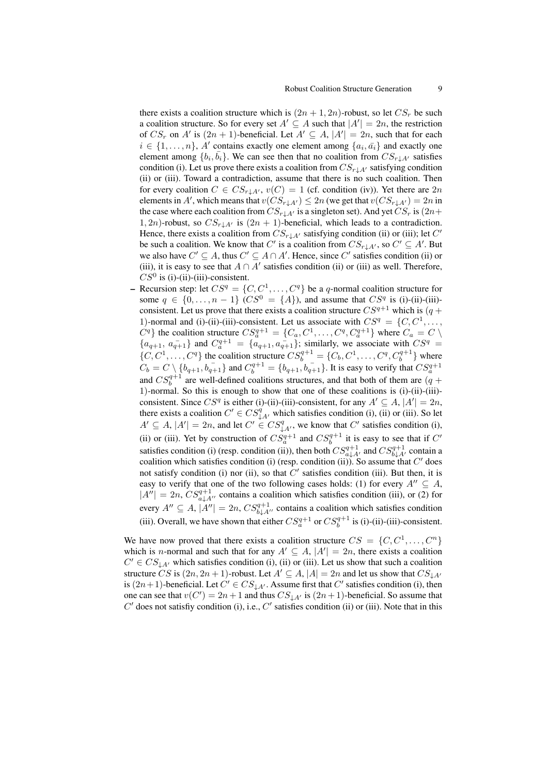there exists a coalition structure which is  $(2n + 1, 2n)$ -robust, so let  $CS<sub>r</sub>$  be such a coalition structure. So for every set  $A' \subseteq A$  such that  $|A'| = 2n$ , the restriction of  $CS_r$  on  $A'$  is  $(2n + 1)$ -beneficial. Let  $A' \subseteq A$ ,  $|A'| = 2n$ , such that for each  $i \in \{1, \ldots, n\}$ , *A'* contains exactly one element among  $\{a_i, \bar{a_i}\}$  and exactly one element among  $\{b_i, \bar{b_i}\}$ . We can see then that no coalition from  $CS_{r\downarrow A'}$  satisfies condition (i). Let us prove there exists a coalition from  $CS_{r\downarrow A'}$  satisfying condition (ii) or (iii). Toward a contradiction, assume that there is no such coalition. Then for every coalition  $C \in CS_{r\downarrow A'}$ ,  $v(C) = 1$  (cf. condition (iv)). Yet there are 2*n* elements in *A'*, which means that  $v(CS_{r\downarrow A'}) \leq 2n$  (we get that  $v(CS_{r\downarrow A'}) = 2n$  in the case where each coalition from  $CS_{r\downarrow A'}$  is a singleton set). And yet  $CS_r$  is  $(2n+$ 1, 2*n*)-robust, so  $CS_{r\perp A'}$  is  $(2n + 1)$ -beneficial, which leads to a contradiction. Hence, there exists a coalition from  $CS_{r\downarrow A'}$  satisfying condition (ii) or (iii); let  $C'$ be such a coalition. We know that  $C'$  is a coalition from  $CS_{r\downarrow A'}$ , so  $C' \subseteq A'$ . But we also have  $C' \subseteq A$ , thus  $C' \subseteq A \cap A'$ . Hence, since  $C'$  satisfies condition (ii) or (iii), it is easy to see that  $A \cap A'$  satisfies condition (ii) or (iii) as well. Therefore,  $CS^0$  is (i)-(ii)-(iii)-consistent.

 $\mathcal{L}$  Recursion step: let  $CS^q = \{C, C^1, \ldots, C^q\}$  be a *q*-normal coalition structure for some  $q \in \{0, ..., n-1\}$  ( $CS^0 = \{A\}$ ), and assume that  $CS^q$  is (i)-(ii)-(iii)consistent. Let us prove that there exists a coalition structure  $CS^{q+1}$  which is (*q* + 1)-normal and (i)-(ii)-(iii)-consistent. Let us associate with  $CS^q = \{C, C^1, \ldots, C^q\}$  $C^q$ } the coalition structure  $CS_a^{q+1} = \{C_a, C^1, \ldots, C^q, C_a^{q+1}\}\$  where  $C_a = C \setminus C^q$  ${a_{q+1}, a_{q+1}}$  and  $C_q^{q+1} = {a_{q+1}, a_{q+1}}$ ; similarly, we associate with  $CS^q =$  ${C, C^1, \ldots, C^q}$  the coalition structure  $CS_b^{q+1} = {C_b, C^1, \ldots, C^q, C_b^{q+1}}$  where  $C_b = C \setminus \{b_{q+1}, b_{q+1}\}$  and  $C_b^{q+1} = \{b_{q+1}, b_{q+1}\}$ . It is easy to verify that  $CS_a^{q+1}$ and  $CS_b^{q+1}$  are well-defined coalitions structures, and that both of them are  $(q +$ 1)-normal. So this is enough to show that one of these coalitions is (i)-(ii)-(iii) consistent. Since *CS<sup>q</sup>* is either (i)-(ii)-(iii)-consistent, for any  $A' \subseteq A$ ,  $|A'| = 2n$ , there exists a coalition  $C' \in CS_{\downarrow A'}^q$  which satisfies condition (i), (ii) or (iii). So let  $A' \subseteq A$ ,  $|A'| = 2n$ , and let  $C' \in CS_{\downarrow A'}^q$ , we know that  $C'$  satisfies condition (i), (ii) or (iii). Yet by construction of  $CS_a^{q+1}$  and  $CS_b^{q+1}$  it is easy to see that if  $C'$ satisfies condition (i) (resp. condition (ii)), then both  $CS_{a\downarrow A'}^{q+1}$  and  $CS_{b\downarrow A'}^{q+1}$  contain a coalition which satisfies condition (i) (resp. condition (ii)). So assume that *C ′* does not satisfy condition (i) nor (ii), so that *C ′* satisfies condition (iii). But then, it is easy to verify that one of the two following cases holds: (1) for every  $A'' \subseteq A$ ,  $|A''| = 2n$ ,  $CS_{a\downarrow A''}^{q+1}$  contains a coalition which satisfies condition (iii), or (2) for every  $A'' \subseteq A$ ,  $|A''| = 2n$ ,  $CS^{q+1}_{b\downarrow A''}$  contains a coalition which satisfies condition (iii). Overall, we have shown that either  $CS_a^{q+1}$  or  $CS_b^{q+1}$  is (i)-(ii)-(iii)-consistent.

We have now proved that there exists a coalition structure  $CS = \{C, C^1, \ldots, C^n\}$ which is *n*-normal and such that for any  $A' \subseteq A$ ,  $|A'| = 2n$ , there exists a coalition  $C' \in CS_{\downarrow A'}$  which satisfies condition (i), (ii) or (iii). Let us show that such a coalition structure *CS* is  $(2n, 2n + 1)$ -robust. Let  $A' \subseteq A$ ,  $|A| = 2n$  and let us show that  $CS_{\downarrow A'}$ is  $(2n+1)$ -beneficial. Let  $C' \in CS_{\downarrow A'}$ . Assume first that  $C'$  satisfies condition (i), then one can see that  $v(C') = 2n + 1$  and thus  $CS_{\downarrow A'}$  is  $(2n + 1)$ -beneficial. So assume that *C ′* does not satisfiy condition (i), i.e., *C ′* satisfies condition (ii) or (iii). Note that in this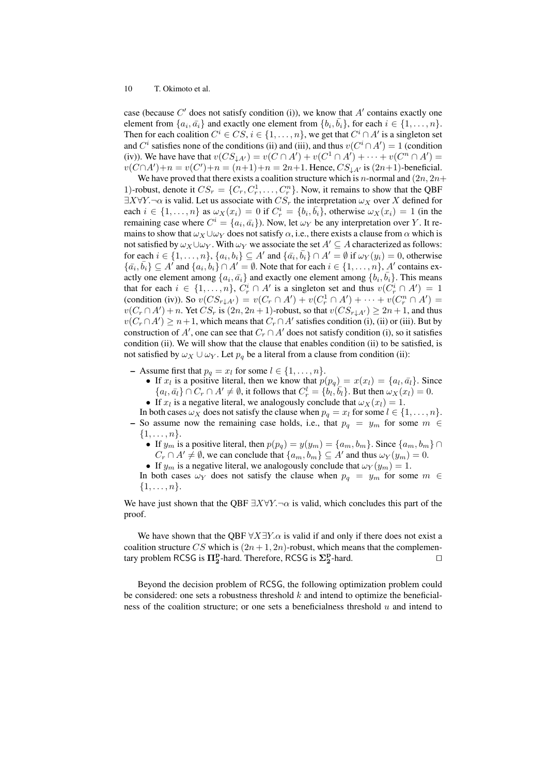case (because *C ′* does not satisfy condition (i)), we know that *A′* contains exactly one element from  $\{a_i, \bar{a_i}\}$  and exactly one element from  $\{b_i, \bar{b_i}\}$ , for each  $i \in \{1, \ldots, n\}$ . Then for each coalition  $C^i \in CS, i \in \{1, \ldots, n\}$ , we get that  $C^i \cap A'$  is a singleton set and  $C^i$  satisfies none of the conditions (ii) and (iii), and thus  $v(C^i \cap A') = 1$  (condition (iv)). We have have that  $v(CS_{\downarrow A'}) = v(C \cap A') + v(C^1 \cap A') + \cdots + v(C^n \cap A') =$ *v*(*C*∩*A*<sup> $\prime$ </sup>)+*n* = *v*(*C*<sup> $\prime$ </sup>)+*n* = (*n*+1)+*n* = 2*n*+1. Hence, *CS*<sub>↓</sub>*A*<sup>*′*</sup> is (2*n*+1)-beneficial.

We have proved that there exists a coalition structure which is *n*-normal and  $(2n, 2n+$ 1)-robust, denote it  $CS_r = \{C_r, C_r^1, \ldots, C_r^n\}$ . Now, it remains to show that the QBF *∃X∀Y.¬α* is valid. Let us associate with *CS<sup>r</sup>* the interpretation *ω<sup>X</sup>* over *X* defined for each  $i \in \{1, ..., n\}$  as  $\omega_X(x_i) = 0$  if  $C_r^i = \{b_i, \overline{b_i}\}$ , otherwise  $\omega_X(x_i) = 1$  (in the remaining case where  $C^i = \{a_i, \bar{a_i}\}\)$ . Now, let  $\omega_Y$  be any interpretation over *Y*. It remains to show that  $\omega_X \cup \omega_Y$  does not satisfy  $\alpha$ , i.e., there exists a clause from  $\alpha$  which is not satisfied by  $\omega_X \cup \omega_Y$ . With  $\omega_Y$  we associate the set  $A' \subseteq A$  characterized as follows: for each  $i \in \{1, ..., n\}$ ,  $\{a_i, b_i\} \subseteq A'$  and  $\{\bar{a_i}, \bar{b_i}\} \cap A' = \emptyset$  if  $\omega_Y(y_i) = 0$ , otherwise  $\{\bar{a}_i, \bar{b}_i\} \subseteq A'$  and  $\{a_i, b_i\} \cap A' = \emptyset$ . Note that for each  $i \in \{1, \dots, n\}$ , A' contains exactly one element among  $\{a_i, \bar{a_i}\}$  and exactly one element among  $\{b_i, \bar{b_i}\}$ . This means that for each  $i \in \{1, ..., n\}$ ,  $C_r^i \cap A'$  is a singleton set and thus  $v(C_r^i \cap A') = 1$ (condition (iv)). So  $v(CS_{r\downarrow A'}) = v(C_r \cap A') + v(C_r^1 \cap A') + \cdots + v(C_r^n \cap A') =$  $v(C_r \cap A') + n$ . Yet  $CS_r$  is  $(2n, 2n + 1)$ -robust, so that  $v(CS_{r\downarrow A'}) \ge 2n + 1$ , and thus  $v(C_r \cap A') \geq n+1$ , which means that  $C_r \cap A'$  satisfies condition (i), (ii) or (iii). But by construction of *A<sup>'</sup>*, one can see that  $C_r \cap A'$  does not satisfy condition (i), so it satisfies condition (ii). We will show that the clause that enables condition (ii) to be satisfied, is not satisfied by  $\omega_X \cup \omega_Y$ . Let  $p_q$  be a literal from a clause from condition (ii):

- − Assume first that  $p_q = x_l$  for some  $l \in \{1, \ldots, n\}$ .
	- If  $x_l$  is a positive literal, then we know that  $p(p_q) = x(x_l) = \{a_l, \bar{a}_l\}$ . Since  $\{a_l, \bar{a}_l\} \cap C_r \cap A' \neq \emptyset$ , it follows that  $C_r^l = \{b_l, \bar{b}_l\}$ . But then  $\omega_X(x_l) = 0$ .
	- If  $x_l$  is a negative literal, we analogously conclude that  $\omega_X(x_l) = 1$ .
- In both cases  $\omega_X$  does not satisfy the clause when  $p_q = x_l$  for some  $l \in \{1, \ldots, n\}$ . – So assume now the remaining case holds, i.e., that *p<sup>q</sup>* = *y<sup>m</sup>* for some *m ∈ {*1*, . . . , n}*.
	- If  $y_m$  is a positive literal, then  $p(p_q) = y(y_m) = \{a_m, b_m\}$ . Since  $\{a_m, b_m\} \cap$  $C_r \cap A' \neq \emptyset$ , we can conclude that  $\{a_m, b_m\} \subseteq A'$  and thus  $\omega_Y(y_m) = 0$ .
	- If  $y_m$  is a negative literal, we analogously conclude that  $\omega_Y(y_m) = 1$ .

In both cases  $\omega_Y$  does not satisfy the clause when  $p_q = y_m$  for some  $m \in$ *{*1*, . . . , n}*.

We have just shown that the QBF *∃X∀Y.¬α* is valid, which concludes this part of the proof.

We have shown that the QBF  $\forall X \exists Y \alpha$  is valid if and only if there does not exist a coalition structure *CS* which is  $(2n + 1, 2n)$ -robust, which means that the complementary problem RCSG is  $\Pi_2^{\text{p}}$ -hard. Therefore, RCSG is  $\Sigma_2^{\text{p}}$ -hard.  $\Box$ 

Beyond the decision problem of RCSG, the following optimization problem could be considered: one sets a robustness threshold *k* and intend to optimize the beneficialness of the coalition structure; or one sets a beneficialness threshold *u* and intend to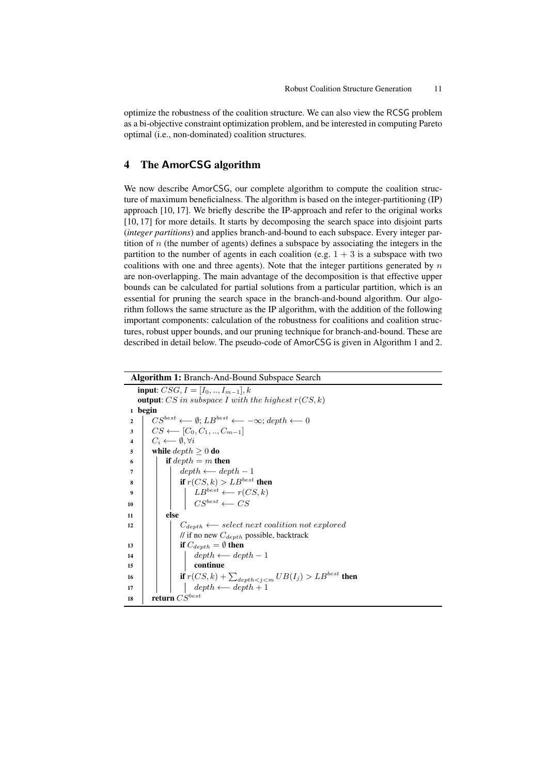optimize the robustness of the coalition structure. We can also view the RCSG problem as a bi-objective constraint optimization problem, and be interested in computing Pareto optimal (i.e., non-dominated) coalition structures.

## 4 The **AmorCSG** algorithm

We now describe AmorCSG, our complete algorithm to compute the coalition structure of maximum beneficialness. The algorithm is based on the integer-partitioning (IP) approach [10, 17]. We briefly describe the IP-approach and refer to the original works [10, 17] for more details. It starts by decomposing the search space into disjoint parts (*integer partitions*) and applies branch-and-bound to each subspace. Every integer partition of *n* (the number of agents) defines a subspace by associating the integers in the partition to the number of agents in each coalition (e.g.  $1 + 3$  is a subspace with two coalitions with one and three agents). Note that the integer partitions generated by *n* are non-overlapping. The main advantage of the decomposition is that effective upper bounds can be calculated for partial solutions from a particular partition, which is an essential for pruning the search space in the branch-and-bound algorithm. Our algorithm follows the same structure as the IP algorithm, with the addition of the following important components: calculation of the robustness for coalitions and coalition structures, robust upper bounds, and our pruning technique for branch-and-bound. These are described in detail below. The pseudo-code of AmorCSG is given in Algorithm 1 and 2.

```
Algorithm 1: Branch-And-Bound Subspace Search
   input: \, CSG, I = [I_0, \ldots, I_{m-1}], koutput: CS in subspace I with the highest r(CS, k)
1 begin
2 CSbest ←− ∅; LBbest ←− −∞; depth ←− 0
\begin{array}{c|c} \n\mathbf{3} & C\mathbf{S} \longleftarrow [C_0, C_1, \ldots, C_{m-1}] \\
\hline\n\mathbf{4} & C_i \longleftarrow \emptyset, \forall i\n\end{array}4 Ci ←− ∅, ∀i
5 while depth \geq 0 do
6 if depth = m then
7 depth ←− depth − 1
8 i if r(CS, k) > LB^{best} then
\bullet | | LB^{best} \leftarrow r(CS, k)\begin{array}{c|c|c|c|c} \hline \text{10} & \text{} & \text{} \end{array} \begin{array}{c} \hline \text{110} & \text{} & \text{} \end{array} \begin{array}{c} \text{C} & \text{C} & \text{C} & \text{C} \end{array}11 else
12 Cdepth ←− select next coalition not explored
                  // if no new Cdepth possible, backtrack
13 if C_{depth} = \emptyset then
14 depth ←− depth − 1
15 | | | continue
16 if r(CS, k) + \sum_{depth < j < m} UB(I_j) > LB^{best} then
17 depth ←− depth + 1
18 return CSbest
```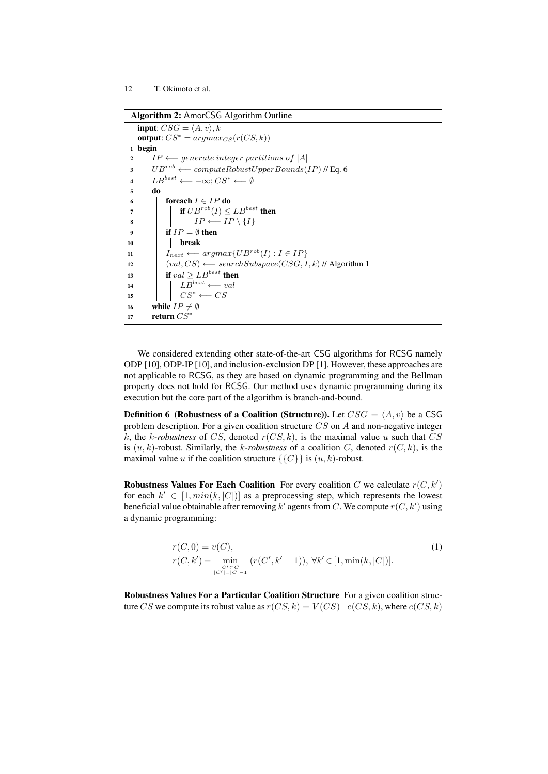Algorithm 2: AmorCSG Algorithm Outline

```
\text{input: } CSG = \langle A, v \rangle, koutput: CS^* = argmax_{CS}(r(CS, k))1 begin
2 IP ←− generate integer partitions of |A|
3 UBrob ←− computeRobustU pperBounds(IP) // Eq. 6
4 LBbest ←− −∞; CS∗ ←− ∅
5 do
6 for i for each I \in IP do
\begin{array}{c|c|c|c} \hline \end{array} if UB^{rob}(I) \leq LB^{best} then
\mathbf{s} | | | IP \leftarrow IP \setminus \{I\}9 if IP = \emptyset then
10 | break
11 Inext ←− argmax{UBrob(I) : I ∈ IP}
12 (val, CS) ←− searchSubspace(CSG, I, k) // Algorithm 1
13 if val \geq LB^{best} then
14 LBbest ←− val
15 CS∗ ←− CS
16 while IP \neq \emptyset17 return CS∗
```
We considered extending other state-of-the-art CSG algorithms for RCSG namely ODP [10], ODP-IP [10], and inclusion-exclusion DP [1]. However, these approaches are not applicable to RCSG, as they are based on dynamic programming and the Bellman property does not hold for RCSG. Our method uses dynamic programming during its execution but the core part of the algorithm is branch-and-bound.

**Definition 6 (Robustness of a Coalition (Structure)).** Let  $CSG = \langle A, v \rangle$  be a CSG problem description. For a given coalition structure *CS* on *A* and non-negative integer *k*, the *k*-robustness of CS, denoted  $r(CS, k)$ , is the maximal value *u* such that CS is  $(u, k)$ -robust. Similarly, the *k*-*robustness* of a coalition *C*, denoted  $r(C, k)$ , is the maximal value *u* if the coalition structure  $\{\{C\}\}\$ is  $(u, k)$ -robust.

**Robustness Values For Each Coalition** For every coalition *C* we calculate  $r(C, k')$ for each  $k' \in [1, min(k, |C|)]$  as a preprocessing step, which represents the lowest beneficial value obtainable after removing  $k'$  agents from C. We compute  $r(C, k')$  using a dynamic programming:

$$
r(C,0) = v(C),
$$
  
\n
$$
r(C,k') = \min_{\substack{C' \subset C \\ |C'| = |C| - 1}} (r(C',k'-1)), \ \forall k' \in [1, \min(k, |C|)].
$$
\n(1)

Robustness Values For a Particular Coalition Structure For a given coalition structure *CS* we compute its robust value as  $r(CS, k) = V(CS) - e(CS, k)$ , where  $e(CS, k)$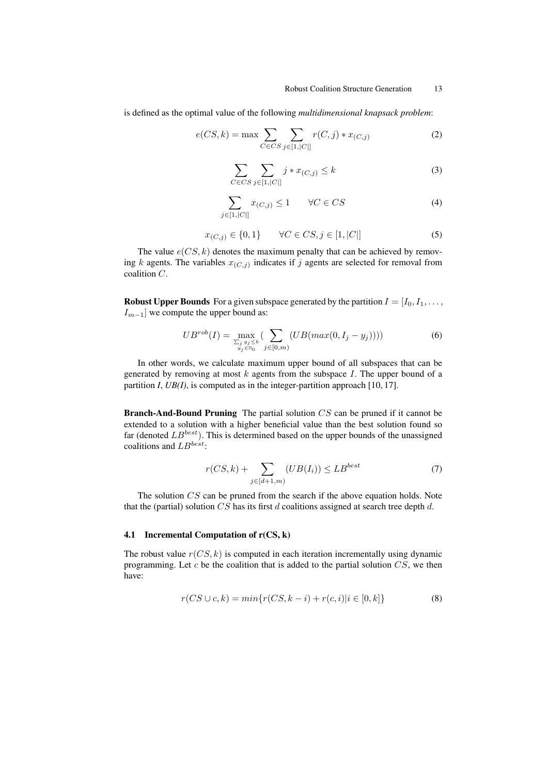is defined as the optimal value of the following *multidimensional knapsack problem*:

$$
e(CS,k) = \max \sum_{C \in CS} \sum_{j \in [1,|C|]} r(C,j) * x_{(C,j)}
$$
 (2)

$$
\sum_{C \in CS} \sum_{j \in [1, |C|]} j * x_{(C,j)} \le k \tag{3}
$$

$$
\sum_{j \in [1, |C|]} x_{(C,j)} \le 1 \qquad \forall C \in CS \tag{4}
$$

$$
x_{(C,j)} \in \{0,1\} \qquad \forall C \in CS, j \in [1,|C|] \tag{5}
$$

The value  $e(CS, k)$  denotes the maximum penalty that can be achieved by removing  $k$  agents. The variables  $x_{(C,j)}$  indicates if  $j$  agents are selected for removal from coalition *C*.

**Robust Upper Bounds** For a given subspace generated by the partition  $I = [I_0, I_1, \ldots, I_n]$ *I*<sub>*m*−1</sub>] we compute the upper bound as:

$$
UB^{rob}(I) = \max_{\sum_{j} y_j \le k \atop y_j \in \mathbb{N}_0} (\sum_{j \in [0,m)} (UB(max(0, I_j - y_j)))) \tag{6}
$$

In other words, we calculate maximum upper bound of all subspaces that can be generated by removing at most *k* agents from the subspace *I*. The upper bound of a partition *I*, *UB(I)*, is computed as in the integer-partition approach [10, 17].

Branch-And-Bound Pruning The partial solution *CS* can be pruned if it cannot be extended to a solution with a higher beneficial value than the best solution found so far (denoted *LBbest*). This is determined based on the upper bounds of the unassigned coalitions and *LBbest*:

$$
r(CS,k) + \sum_{j \in [d+1,m)} (UB(I_i)) \le LB^{best} \tag{7}
$$

The solution *CS* can be pruned from the search if the above equation holds. Note that the (partial) solution *CS* has its first *d* coalitions assigned at search tree depth *d*.

#### 4.1 Incremental Computation of r(CS, k)

The robust value  $r(CS, k)$  is computed in each iteration incrementally using dynamic programming. Let *c* be the coalition that is added to the partial solution *CS*, we then have:

$$
r(CS \cup c, k) = min\{r(CS, k - i) + r(c, i)|i \in [0, k]\}
$$
\n(8)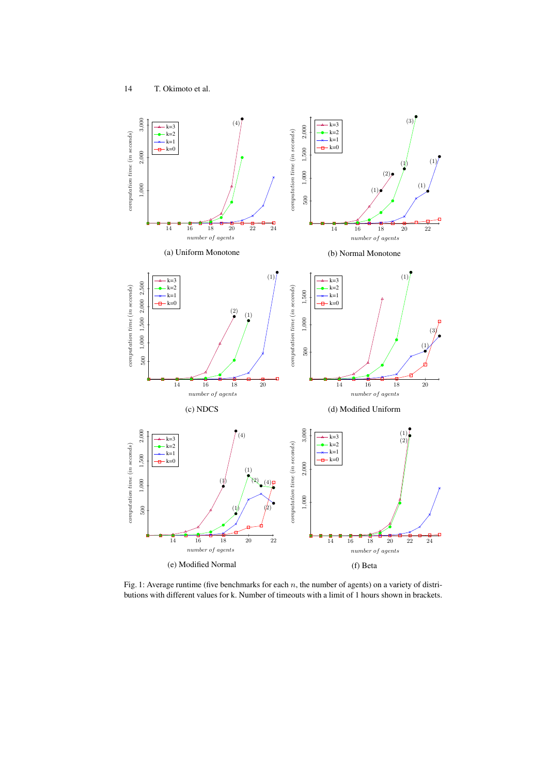

Fig. 1: Average runtime (five benchmarks for each *n*, the number of agents) on a variety of distributions with different values for k. Number of timeouts with a limit of 1 hours shown in brackets.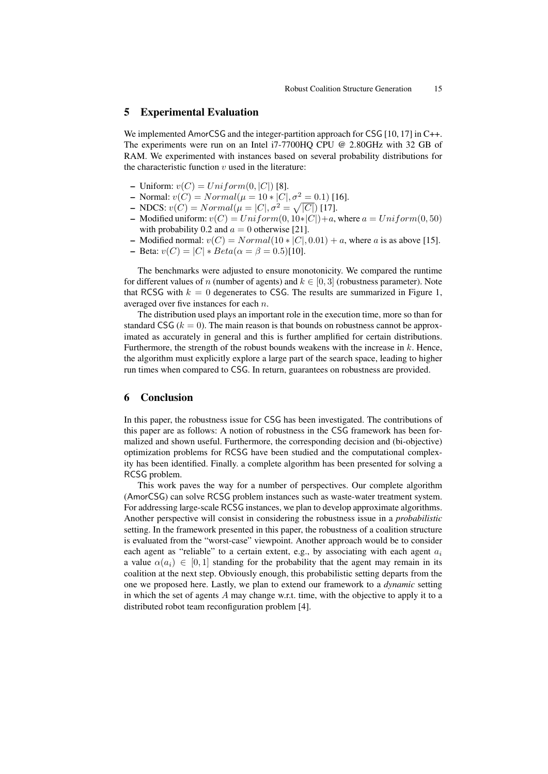### 5 Experimental Evaluation

We implemented AmorCSG and the integer-partition approach for CSG [10, 17] in C++. The experiments were run on an Intel i7-7700HQ CPU @ 2.80GHz with 32 GB of RAM. We experimented with instances based on several probability distributions for the characteristic function  $v$  used in the literature:

- $-$  Uniform:  $v(C) = Uniform(0, |C|)$  [8].
- $-$  Normal: *v*(*C*) = *Normal*( $μ = 10 * |C|$ ,  $σ<sup>2</sup> = 0.1$ ) [16].
- $-$  NDCS:  $v(C) = Normal(\mu = |C|, \sigma^2 = \sqrt{|C|})$  [17].
- Modified uniform: *v*(*C*) = *Uniform*(0*,* 10*∗|C|*)+*a*, where *a* = *Uniform*(0*,* 50) with probability 0.2 and  $a = 0$  otherwise [21].
- Modified normal:  $v(C) = Normal(10 * |C|, 0.01) + a$ , where *a* is as above [15].  $-$  Beta: *v*(*C*) = |*C*| ∗ *Beta*( $\alpha = \beta = 0.5$ )[10].
- 

The benchmarks were adjusted to ensure monotonicity. We compared the runtime for different values of *n* (number of agents) and  $k \in [0, 3]$  (robustness parameter). Note that RCSG with  $k = 0$  degenerates to CSG. The results are summarized in Figure 1, averaged over five instances for each *n*.

The distribution used plays an important role in the execution time, more so than for standard CSG  $(k = 0)$ . The main reason is that bounds on robustness cannot be approximated as accurately in general and this is further amplified for certain distributions. Furthermore, the strength of the robust bounds weakens with the increase in *k*. Hence, the algorithm must explicitly explore a large part of the search space, leading to higher run times when compared to CSG. In return, guarantees on robustness are provided.

### 6 Conclusion

In this paper, the robustness issue for CSG has been investigated. The contributions of this paper are as follows: A notion of robustness in the CSG framework has been formalized and shown useful. Furthermore, the corresponding decision and (bi-objective) optimization problems for RCSG have been studied and the computational complexity has been identified. Finally. a complete algorithm has been presented for solving a RCSG problem.

This work paves the way for a number of perspectives. Our complete algorithm (AmorCSG) can solve RCSG problem instances such as waste-water treatment system. For addressing large-scale RCSG instances, we plan to develop approximate algorithms. Another perspective will consist in considering the robustness issue in a *probabilistic* setting. In the framework presented in this paper, the robustness of a coalition structure is evaluated from the "worst-case" viewpoint. Another approach would be to consider each agent as "reliable" to a certain extent, e.g., by associating with each agent *a<sup>i</sup>* a value  $\alpha(a_i) \in [0,1]$  standing for the probability that the agent may remain in its coalition at the next step. Obviously enough, this probabilistic setting departs from the one we proposed here. Lastly, we plan to extend our framework to a *dynamic* setting in which the set of agents *A* may change w.r.t. time, with the objective to apply it to a distributed robot team reconfiguration problem [4].